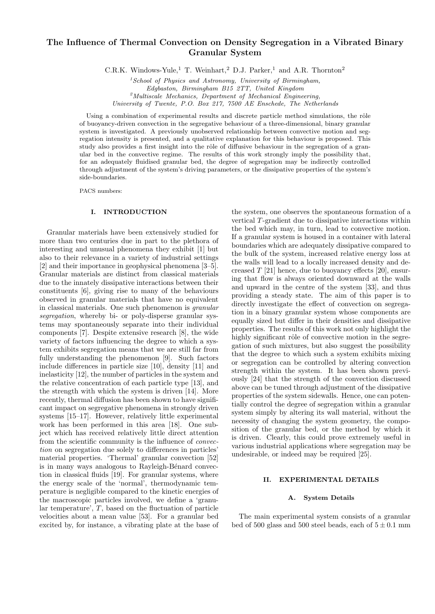# The Influence of Thermal Convection on Density Segregation in a Vibrated Binary Granular System

C.R.K. Windows-Yule,<sup>1</sup> T. Weinhart,<sup>2</sup> D.J. Parker,<sup>1</sup> and A.R. Thornton<sup>2</sup>

 $1$ School of Physics and Astronomy, University of Birmingham, Edgbaston, Birmingham B15 2TT, United Kingdom  ${}^{2}$ Multiscale Mechanics, Department of Mechanical Engineering, University of Twente, P.O. Box 217, 7500 AE Enschede, The Netherlands

Using a combination of experimental results and discrete particle method simulations, the rôle of buoyancy-driven convection in the segregative behaviour of a three-dimensional, binary granular system is investigated. A previously unobserved relationship between convective motion and segregation intensity is presented, and a qualitative explanation for this behaviour is proposed. This study also provides a first insight into the rôle of diffusive behaviour in the segregation of a granular bed in the convective regime. The results of this work strongly imply the possibility that, for an adequately fluidised granular bed, the degree of segregation may be indirectly controlled through adjustment of the system's driving parameters, or the dissipative properties of the system's side-boundaries.

PACS numbers:

# I. INTRODUCTION

Granular materials have been extensively studied for more than two centuries due in part to the plethora of interesting and unusual phenomena they exhibit [1] but also to their relevance in a variety of industrial settings [2] and their importance in geophysical phenomena [3–5]. Granular materials are distinct from classical materials due to the innately dissipative interactions between their constituents [6], giving rise to many of the behaviours observed in granular materials that have no equivalent in classical materials. One such phenomenon is granular segregation, whereby bi- or poly-disperse granular systems may spontaneously separate into their individual components [7]. Despite extensive research [8], the wide variety of factors influencing the degree to which a system exhibits segregation means that we are still far from fully understanding the phenomenon [9]. Such factors include differences in particle size [10], density [11] and inelasticity [12], the number of particles in the system and the relative concentration of each particle type [13], and the strength with which the system is driven [14]. More recently, thermal diffusion has been shown to have significant impact on segregative phenomena in strongly driven systems [15–17]. However, relatively little experimental work has been performed in this area [18]. One subject which has received relatively little direct attention from the scientific community is the influence of convection on segregation due solely to differences in particles' material properties. 'Thermal' granular convection [52] is in many ways analogous to Rayleigh-Bénard convection in classical fluids [19]. For granular systems, where the energy scale of the 'normal', thermodynamic temperature is negligible compared to the kinetic energies of the macroscopic particles involved, we define a 'granular temperature',  $T$ , based on the fluctuation of particle velocities about a mean value [53]. For a granular bed excited by, for instance, a vibrating plate at the base of

the system, one observes the spontaneous formation of a vertical T-gradient due to dissipative interactions within the bed which may, in turn, lead to convective motion. If a granular system is housed in a container with lateral boundaries which are adequately dissipative compared to the bulk of the system, increased relative energy loss at the walls will lead to a locally increased density and decreased  $T$  [21] hence, due to buoyancy effects [20], ensuring that flow is always oriented downward at the walls and upward in the centre of the system [33], and thus providing a steady state. The aim of this paper is to directly investigate the effect of convection on segregation in a binary granular system whose components are equally sized but differ in their densities and dissipative properties. The results of this work not only highlight the highly significant rôle of convective motion in the segregation of such mixtures, but also suggest the possibility that the degree to which such a system exhibits mixing or segregation can be controlled by altering convection strength within the system. It has been shown previously [24] that the strength of the convection discussed above can be tuned through adjustment of the dissipative properties of the system sidewalls. Hence, one can potentially control the degree of segregation within a granular system simply by altering its wall material, without the necessity of changing the system geometry, the composition of the granular bed, or the method by which it is driven. Clearly, this could prove extremely useful in various industrial applications where segregation may be undesirable, or indeed may be required [25].

## II. EXPERIMENTAL DETAILS

#### A. System Details

The main experimental system consists of a granular bed of 500 glass and 500 steel beads, each of  $5 \pm 0.1$  mm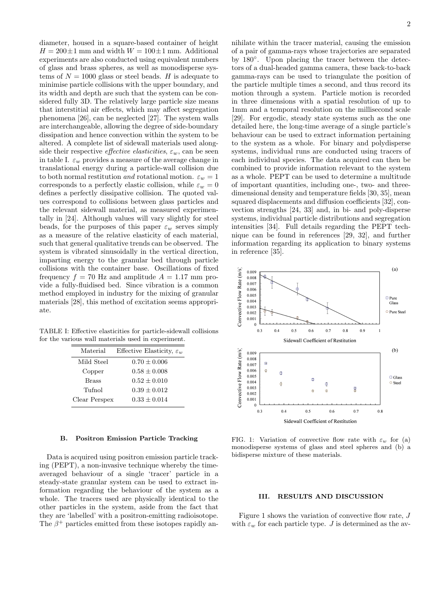diameter, housed in a square-based container of height  $H = 200 \pm 1$  mm and width  $W = 100 \pm 1$  mm. Additional experiments are also conducted using equivalent numbers of glass and brass spheres, as well as monodisperse systems of  $N = 1000$  glass or steel beads. H is adequate to minimise particle collisions with the upper boundary, and its width and depth are such that the system can be considered fully 3D. The relatively large particle size means that interstitial air effects, which may affect segregation phenomena [26], can be neglected [27]. The system walls are interchangeable, allowing the degree of side-boundary dissipation and hence convection within the system to be altered. A complete list of sidewall materials used alongside their respective *effective elasticities*,  $\varepsilon_w$ , can be seen in table I.  $\varepsilon_w$  provides a measure of the average change in translational energy during a particle-wall collision due to both normal restitution and rotational motion.  $\varepsilon_w = 1$ corresponds to a perfectly elastic collision, while  $\varepsilon_w = 0$ defines a perfectly dissipative collision. The quoted values correspond to collisions between glass particles and the relevant sidewall material, as measured experimentally in [24]. Although values will vary slightly for steel beads, for the purposes of this paper  $\varepsilon_w$  serves simply as a measure of the relative elasticity of each material, such that general qualitative trends can be observed. The system is vibrated sinusoidally in the vertical direction, imparting energy to the granular bed through particle collisions with the container base. Oscillations of fixed frequency  $f = 70$  Hz and amplitude  $A = 1.17$  mm provide a fully-fluidised bed. Since vibration is a common method employed in industry for the mixing of granular materials [28], this method of excitation seems appropriate.

TABLE I: Effective elasticities for particle-sidewall collisions for the various wall materials used in experiment.

| Material      | Effective Elasticity, $\varepsilon_w$ |
|---------------|---------------------------------------|
| Mild Steel    | $0.70 \pm 0.006$                      |
| Copper        | $0.58 \pm 0.008$                      |
| <b>Brass</b>  | $0.52 \pm 0.010$                      |
| Tufnol        | $0.39 \pm 0.012$                      |
| Clear Perspex | $0.33 + 0.014$                        |

#### B. Positron Emission Particle Tracking

Data is acquired using positron emission particle tracking (PEPT), a non-invasive technique whereby the timeaveraged behaviour of a single 'tracer' particle in a steady-state granular system can be used to extract information regarding the behaviour of the system as a whole. The tracers used are physically identical to the other particles in the system, aside from the fact that they are 'labelled' with a positron-emitting radioisotope. The  $\beta^+$  particles emitted from these isotopes rapidly annihilate within the tracer material, causing the emission of a pair of gamma-rays whose trajectories are separated by 180°. Upon placing the tracer between the detectors of a dual-headed gamma camera, these back-to-back gamma-rays can be used to triangulate the position of the particle multiple times a second, and thus record its motion through a system. Particle motion is recorded in three dimensions with a spatial resolution of up to 1mm and a temporal resolution on the millisecond scale [29]. For ergodic, steady state systems such as the one detailed here, the long-time average of a single particle's behaviour can be used to extract information pertaining to the system as a whole. For binary and polydisperse systems, individual runs are conducted using tracers of each individual species. The data acquired can then be combined to provide information relevant to the system as a whole. PEPT can be used to determine a multitude of important quantities, including one-, two- and threedimensional density and temperature fields [30, 35], mean squared displacements and diffusion coefficients [32], convection strengths [24, 33] and, in bi- and poly-disperse systems, individual particle distributions and segregation intensities [34]. Full details regarding the PEPT technique can be found in references [29, 32], and further information regarding its application to binary systems in reference [35].



FIG. 1: Variation of convective flow rate with  $\varepsilon_w$  for (a) monodisperse systems of glass and steel spheres and (b) a bidisperse mixture of these materials.

### III. RESULTS AND DISCUSSION

Figure 1 shows the variation of convective flow rate, J with  $\varepsilon_w$  for each particle type. J is determined as the av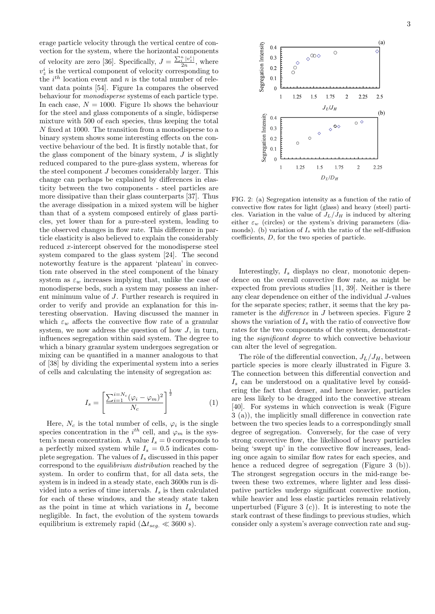erage particle velocity through the vertical centre of convection for the system, where the horizontal components of velocity are zero [36]. Specifically,  $J = \frac{\sum_{i=1}^{n} |v_{\overline{i}}|}{2n}$  $\frac{i^{-\vert v_z\vert}}{2n}$ , where  $v_z^i$  is the vertical component of velocity corresponding to the  $i^{th}$  location event and n is the total number of relevant data points [54]. Figure 1a compares the observed behaviour for monodisperse systems of each particle type. In each case,  $N = 1000$ . Figure 1b shows the behaviour for the steel and glass components of a single, bidisperse mixture with 500 of each species, thus keeping the total N fixed at 1000. The transition from a monodisperse to a binary system shows some interesting effects on the convective behaviour of the bed. It is firstly notable that, for the glass component of the binary system,  $J$  is slightly reduced compared to the pure-glass system, whereas for the steel component J becomes considerably larger. This change can perhaps be explained by differences in elasticity between the two components - steel particles are more dissipative than their glass counterparts [37]. Thus the average dissipation in a mixed system will be higher than that of a system composed entirely of glass particles, yet lower than for a pure-steel system, leading to the observed changes in flow rate. This difference in particle elasticity is also believed to explain the considerably reduced x-intercept observed for the monodisperse steel system compared to the glass system [24]. The second noteworthy feature is the apparent 'plateau' in convection rate observed in the steel component of the binary system as  $\varepsilon_w$  increases implying that, unlike the case of monodisperse beds, such a system may possess an inherent minimum value of J. Further research is required in order to verify and provide an explanation for this interesting observation. Having discussed the manner in which  $\varepsilon_w$  affects the convective flow rate of a granular system, we now address the question of how  $J$ , in turn, influences segregation within said system. The degree to which a binary granular system undergoes segregation or mixing can be quantified in a manner analogous to that of [38] by dividing the experimental system into a series of cells and calculating the intensity of segregation as:

$$
I_s = \left[\frac{\sum_{i=1}^{i=N_c} (\varphi_i - \varphi_m)^2}{N_c}\right]^{\frac{1}{2}}
$$
(1)

Here,  $N_c$  is the total number of cells,  $\varphi_i$  is the single species concentration in the  $i^{th}$  cell, and  $\varphi_m$  is the system's mean concentration. A value  $I_s = 0$  corresponds to a perfectly mixed system while  $I_s = 0.5$  indicates complete segregation. The values of  $I_s$  discussed in this paper correspond to the equilibrium distribution reached by the system. In order to confirm that, for all data sets, the system is in indeed in a steady state, each 3600s run is divided into a series of time intervals.  $I_s$  is then calculated for each of these windows, and the steady state taken as the point in time at which variations in  $I_s$  become negligible. In fact, the evolution of the system towards equilibrium is extremely rapid ( $\Delta t_{sea} \ll 3600$  s).



FIG. 2: (a) Segregation intensity as a function of the ratio of convective flow rates for light (glass) and heavy (steel) particles. Variation in the value of  $J_L/J_H$  is induced by altering either  $\varepsilon_w$  (circles) or the system's driving parameters (diamonds). (b) variation of  $I<sub>s</sub>$  with the ratio of the self-diffusion coefficients, D, for the two species of particle.

Interestingly,  $I_s$  displays no clear, monotonic dependence on the overall convective flow rate, as might be expected from previous studies [11, 39]. Neither is there any clear dependence on either of the individual J-values for the separate species; rather, it seems that the key parameter is the *difference* in J between species. Figure 2 shows the variation of  $I_s$  with the ratio of convective flow rates for the two components of the system, demonstrating the significant degree to which convective behaviour can alter the level of segregation.

The rôle of the differential convection,  $J_L/J_H$ , between particle species is more clearly illustrated in Figure 3. The connection between this differential convection and  $I_s$  can be understood on a qualitative level by considering the fact that denser, and hence heavier, particles are less likely to be dragged into the convective stream [40]. For systems in which convection is weak (Figure 3 (a)), the implicitly small difference in convection rate between the two species leads to a correspondingly small degree of segregation. Conversely, for the case of very strong convective flow, the likelihood of heavy particles being 'swept up' in the convective flow increases, leading once again to similar flow rates for each species, and hence a reduced degree of segregation (Figure 3 (b)). The strongest segregation occurs in the mid-range between these two extremes, where lighter and less dissipative particles undergo significant convective motion, while heavier and less elastic particles remain relatively unperturbed (Figure 3  $(c)$ ). It is interesting to note the stark contrast of these findings to previous studies, which consider only a system's average convection rate and sug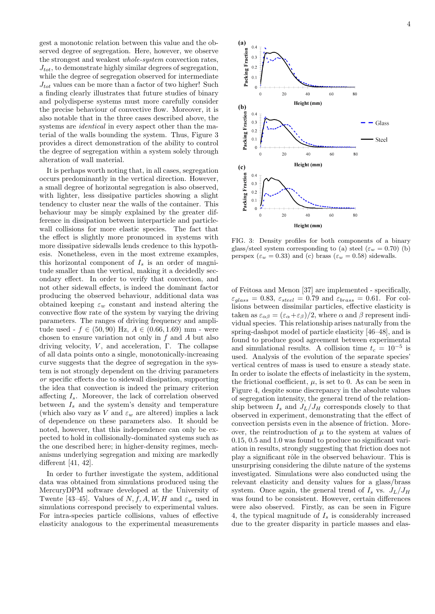gest a monotonic relation between this value and the observed degree of segregation. Here, however, we observe the strongest and weakest whole-system convection rates,  $J_{tot}$ , to demonstrate highly similar degrees of segregation, while the degree of segregation observed for intermediate  $J_{tot}$  values can be more than a factor of two higher! Such a finding clearly illustrates that future studies of binary and polydisperse systems must more carefully consider the precise behaviour of convective flow. Moreover, it is also notable that in the three cases described above, the systems are *identical* in every aspect other than the material of the walls bounding the system. Thus, Figure 3 provides a direct demonstration of the ability to control the degree of segregation within a system solely through alteration of wall material.

It is perhaps worth noting that, in all cases, segregation occurs predominantly in the vertical direction. However, a small degree of horizontal segregation is also observed, with lighter, less dissipative particles showing a slight tendency to cluster near the walls of the container. This behaviour may be simply explained by the greater difference in dissipation between interparticle and particlewall collisions for more elastic species. The fact that the effect is slightly more pronounced in systems with more dissipative sidewalls lends credence to this hypothesis. Nonetheless, even in the most extreme examples, this horizontal component of  $I_s$  is an order of magnitude smaller than the vertical, making it a decidedly secondary effect. In order to verify that convection, and not other sidewall effects, is indeed the dominant factor producing the observed behaviour, additional data was obtained keeping  $\varepsilon_w$  constant and instead altering the convective flow rate of the system by varying the driving parameters. The ranges of driving frequency and amplitude used -  $f \in (50, 90)$  Hz,  $A \in (0.66, 1.69)$  mm - were chosen to ensure variation not only in  $f$  and  $A$  but also driving velocity,  $V$ , and acceleration, Γ. The collapse of all data points onto a single, monotonically-increasing curve suggests that the degree of segregation in the system is not strongly dependent on the driving parameters or specific effects due to sidewall dissipation, supporting the idea that convection is indeed the primary criterion affecting  $I_s$ . Moreover, the lack of correlation observed between  $I_s$  and the system's density and temperature (which also vary as V and  $\varepsilon_w$  are altered) implies a lack of dependence on these parameters also. It should be noted, however, that this independence can only be expected to hold in collisionally-dominated systems such as the one described here; in higher-density regimes, mechanisms underlying segregation and mixing are markedly different [41, 42].

In order to further investigate the system, additional data was obtained from simulations produced using the MercuryDPM software developed at the University of Twente [43–45]. Values of N, f, A, W, H and  $\varepsilon_w$  used in simulations correspond precisely to experimental values. For intra-species particle collisions, values of effective elasticity analogous to the experimental measurements



FIG. 3: Density profiles for both components of a binary glass/steel system corresponding to (a) steel ( $\varepsilon_w = 0.70$ ) (b) perspex ( $\varepsilon_w = 0.33$ ) and (c) brass ( $\varepsilon_w = 0.58$ ) sidewalls.

of Feitosa and Menon [37] are implemented - specifically,  $\varepsilon_{glass} = 0.83$ ,  $\varepsilon_{steel} = 0.79$  and  $\varepsilon_{brass} = 0.61$ . For collisions between dissimilar particles, effective elasticity is taken as  $\varepsilon_{\alpha\beta} = (\varepsilon_{\alpha} + \varepsilon_{\beta})/2$ , where  $\alpha$  and  $\beta$  represent individual species. This relationship arises naturally from the spring-dashpot model of particle elasticity [46–48], and is found to produce good agreement between experimental and simulational results. A collision time  $t_c = 10^{-5}$  is used. Analysis of the evolution of the separate species' vertical centres of mass is used to ensure a steady state. In order to isolate the effects of inelasticity in the system, the frictional coefficient,  $\mu$ , is set to 0. As can be seen in Figure 4, despite some discrepancy in the absolute values of segregation intensity, the general trend of the relationship between  $I_s$  and  $J_L/J_H$  corresponds closely to that observed in experiment, demonstrating that the effect of convection persists even in the absence of friction. Moreover, the reintroduction of  $\mu$  to the system at values of 0.15, 0.5 and 1.0 was found to produce no significant variation in results, strongly suggesting that friction does not play a significant rôle in the observed behaviour. This is unsurprising considering the dilute nature of the systems investigated. Simulations were also conducted using the relevant elasticity and density values for a glass/brass system. Once again, the general trend of  $I_s$  vs.  $J_L/J_H$ was found to be consistent. However, certain differences were also observed. Firstly, as can be seen in Figure 4, the typical magnitude of  $I_s$  is considerably increased due to the greater disparity in particle masses and elas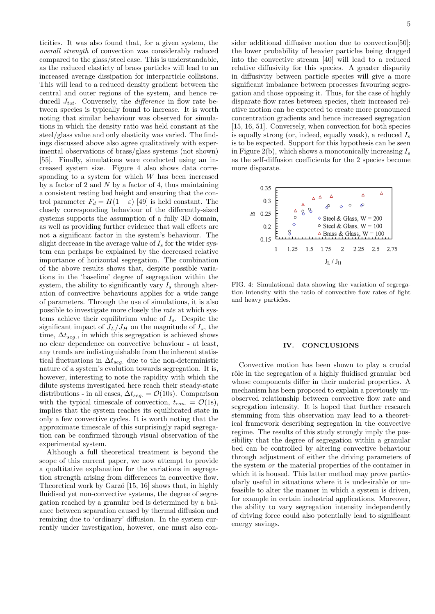ticities. It was also found that, for a given system, the overall strength of convection was considerably reduced compared to the glass/steel case. This is understandable, as the reduced elasticty of brass particles will lead to an increased average dissipation for interparticle collisions. This will lead to a reduced density gradient between the central and outer regions of the system, and hence reducedl  $J_{tot}$ . Conversely, the *difference* in flow rate between species is typically found to increase. It is worth noting that similar behaviour was observed for simulations in which the density ratio was held constant at the steel/glass value and only elasticity was varied. The findings discussed above also agree qualitatively with experimental observations of brass/glass systems (not shown) [55]. Finally, simulations were conducted using an increased system size. Figure 4 also shows data corresponding to a system for which  $W$  has been increased by a factor of 2 and  $N$  by a factor of 4, thus maintaining a consistent resting bed height and ensuring that the control parameter  $F_d = H(1 - \varepsilon)$  [49] is held constant. The closely corresponding behaviour of the differently-sized systems supports the assumption of a fully 3D domain, as well as providing further evidence that wall effects are not a significant factor in the system's behaviour. The slight decrease in the average value of  $I_s$  for the wider system can perhaps be explained by the decreased relative importance of horizontal segregation. The combination of the above results shows that, despite possible variations in the 'baseline' degree of segregation within the system, the ability to significantly vary  $I_s$  through alteration of convective behaviours applies for a wide range of parameters. Through the use of simulations, it is also possible to investigate more closely the rate at which systems achieve their equilibrium value of  $I_s$ . Despite the significant impact of  $J_L/J_H$  on the magnitude of  $I_s$ , the time,  $\Delta t_{seg.}$ , in which this segregation is achieved shows no clear dependence on convective behaviour - at least, any trends are indistinguishable from the inherent statistical fluctuations in  $\Delta t_{seg.}$  due to the non-deterministic nature of a system's evolution towards segregation. It is, however, interesting to note the rapidity with which the dilute systems investigated here reach their steady-state distributions - in all cases,  $\Delta t_{seg.} = \mathcal{O}(10s)$ . Comparison with the typical timescale of convection,  $t_{con.} = \mathcal{O}(1s)$ , implies that the system reaches its equilibrated state in only a few convective cycles. It is worth noting that the approximate timescale of this surprisingly rapid segregation can be confirmed through visual observation of the experimental system.

Although a full theoretical treatment is beyond the scope of this current paper, we now attempt to provide a qualtitative explanation for the variations in segregation strength arising from differences in convective flow. Theoretical work by Garzó  $[15, 16]$  shows that, in highly fluidised yet non-convective systems, the degree of segregation reached by a granular bed is determined by a balance between separation caused by thermal diffusion and remixing due to 'ordinary' diffusion. In the system currently under investigation, however, one must also consider additional diffusive motion due to convection[50]; the lower probability of heavier particles being dragged into the convective stream [40] will lead to a reduced relative diffusivity for this species. A greater disparity in diffusivity between particle species will give a more significant imbalance between processes favouring segregation and those opposing it. Thus, for the case of highly disparate flow rates between species, their increased relative motion can be expected to create more pronounced concentration gradients and hence increased segregation [15, 16, 51]. Conversely, when convection for both species is equally strong (or, indeed, equally weak), a reduced  $I_s$ is to be expected. Support for this hypothesis can be seen in Figure 2(b), which shows a monotonically increasing  $I<sub>s</sub>$ as the self-diffusion coefficients for the 2 species become more disparate.



FIG. 4: Simulational data showing the variation of segregation intensity with the ratio of convective flow rates of light and heavy particles.

#### IV. CONCLUSIONS

Convective motion has been shown to play a crucial rôle in the segregation of a highly fluidised granular bed whose components differ in their material properties. A mechanism has been proposed to explain a previously unobserved relationship between convective flow rate and segregation intensity. It is hoped that further research stemming from this observation may lead to a theoretical framework describing segregation in the convective regime. The results of this study strongly imply the possibility that the degree of segregation within a granular bed can be controlled by altering convective behaviour through adjustment of either the driving parameters of the system or the material properties of the container in which it is housed. This latter method may prove particularly useful in situations where it is undesirable or unfeasible to alter the manner in which a system is driven, for example in certain industrial applications. Moreover, the ability to vary segregation intensity independently of driving force could also potentially lead to significant energy savings.